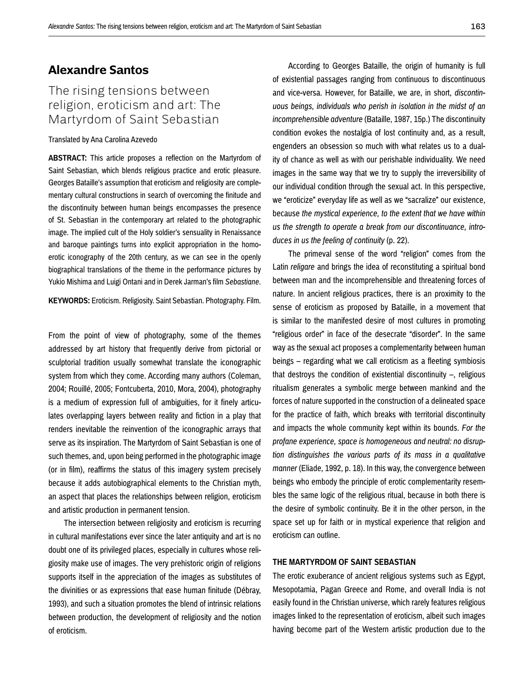## **Alexandre Santos**

# The rising tensions between religion, eroticism and art: The Martyrdom of Saint Sebastian

#### Translated by Ana Carolina Azevedo

**ABSTRACT:** This article proposes a reflection on the Martyrdom of Saint Sebastian, which blends religious practice and erotic pleasure. Georges Bataille's assumption that eroticism and religiosity are complementary cultural constructions in search of overcoming the finitude and the discontinuity between human beings encompasses the presence of St. Sebastian in the contemporary art related to the photographic image. The implied cult of the Holy soldier's sensuality in Renaissance and baroque paintings turns into explicit appropriation in the homoerotic iconography of the 20th century, as we can see in the openly biographical translations of the theme in the performance pictures by Yukio Mishima and Luigi Ontani and in Derek Jarman's film *Sebastiane*.

**KEYWORDS:** Eroticism. Religiosity. Saint Sebastian. Photography. Film.

From the point of view of photography, some of the themes addressed by art history that frequently derive from pictorial or sculptorial tradition usually somewhat translate the iconographic system from which they come. According many authors (Coleman, 2004; Rouillé, 2005; Fontcuberta, 2010, Mora, 2004), photography is a medium of expression full of ambiguities, for it finely articulates overlapping layers between reality and fiction in a play that renders inevitable the reinvention of the iconographic arrays that serve as its inspiration. The Martyrdom of Saint Sebastian is one of such themes, and, upon being performed in the photographic image (or in film), reaffirms the status of this imagery system precisely because it adds autobiographical elements to the Christian myth, an aspect that places the relationships between religion, eroticism and artistic production in permanent tension.

The intersection between religiosity and eroticism is recurring in cultural manifestations ever since the later antiquity and art is no doubt one of its privileged places, especially in cultures whose religiosity make use of images. The very prehistoric origin of religions supports itself in the appreciation of the images as substitutes of the divinities or as expressions that ease human finitude (Débray, 1993), and such a situation promotes the blend of intrinsic relations between production, the development of religiosity and the notion of eroticism.

According to Georges Bataille, the origin of humanity is full of existential passages ranging from continuous to discontinuous and vice-versa. However, for Bataille, we are, in short, *discontinuous beings, individuals who perish in isolation in the midst of an incomprehensible adventure* (Bataille, 1987, 15p.) The discontinuity condition evokes the nostalgia of lost continuity and, as a result, engenders an obsession so much with what relates us to a duality of chance as well as with our perishable individuality. We need images in the same way that we try to supply the irreversibility of our individual condition through the sexual act. In this perspective, we "eroticize" everyday life as well as we "sacralize" our existence, because *the mystical experience, to the extent that we have within us the strength to operate a break from our discontinuance, introduces in us the feeling of continuity* (p. 22).

The primeval sense of the word "religion" comes from the Latin *religare* and brings the idea of reconstituting a spiritual bond between man and the incomprehensible and threatening forces of nature. In ancient religious practices, there is an proximity to the sense of eroticism as proposed by Bataille, in a movement that is similar to the manifested desire of most cultures in promoting "religious order" in face of the desecrate "disorder". In the same way as the sexual act proposes a complementarity between human beings – regarding what we call eroticism as a fleeting symbiosis that destroys the condition of existential discontinuity  $-$ , religious ritualism generates a symbolic merge between mankind and the forces of nature supported in the construction of a delineated space for the practice of faith, which breaks with territorial discontinuity and impacts the whole community kept within its bounds. *For the profane experience, space is homogeneous and neutral: no disruption distinguishes the various parts of its mass in a qualitative manner* (Eliade, 1992, p. 18). In this way, the convergence between beings who embody the principle of erotic complementarity resembles the same logic of the religious ritual, because in both there is the desire of symbolic continuity. Be it in the other person, in the space set up for faith or in mystical experience that religion and eroticism can outline.

#### **THE MARTYRDOM OF SAINT SEBASTIAN**

The erotic exuberance of ancient religious systems such as Egypt, Mesopotamia, Pagan Greece and Rome, and overall India is not easily found in the Christian universe, which rarely features religious images linked to the representation of eroticism, albeit such images having become part of the Western artistic production due to the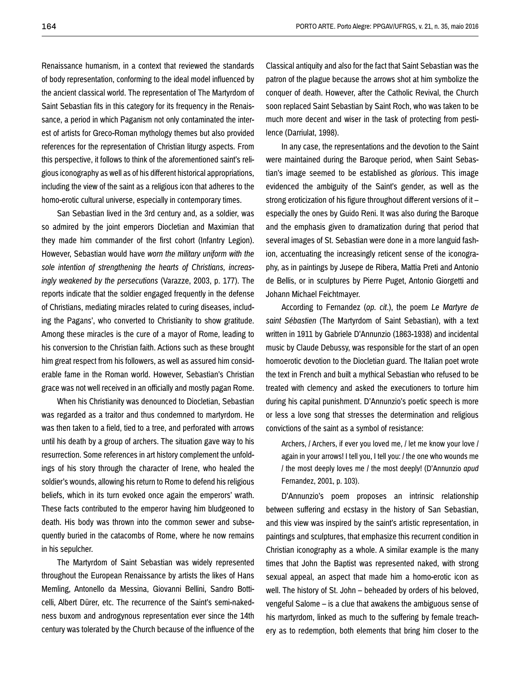Renaissance humanism, in a context that reviewed the standards of body representation, conforming to the ideal model influenced by the ancient classical world. The representation of The Martyrdom of Saint Sebastian fits in this category for its frequency in the Renaissance, a period in which Paganism not only contaminated the interest of artists for Greco-Roman mythology themes but also provided references for the representation of Christian liturgy aspects. From this perspective, it follows to think of the aforementioned saint's religious iconography as well as of his different historical appropriations, including the view of the saint as a religious icon that adheres to the homo-erotic cultural universe, especially in contemporary times.

San Sebastian lived in the 3rd century and, as a soldier, was so admired by the joint emperors Diocletian and Maximian that they made him commander of the first cohort (Infantry Legion). However, Sebastian would have *worn the military uniform with the sole intention of strengthening the hearts of Christians, increasingly weakened by the persecutions* (Varazze, 2003, p. 177). The reports indicate that the soldier engaged frequently in the defense of Christians, mediating miracles related to curing diseases, including the Pagans', who converted to Christianity to show gratitude. Among these miracles is the cure of a mayor of Rome, leading to his conversion to the Christian faith. Actions such as these brought him great respect from his followers, as well as assured him considerable fame in the Roman world. However, Sebastian's Christian grace was not well received in an officially and mostly pagan Rome.

When his Christianity was denounced to Diocletian, Sebastian was regarded as a traitor and thus condemned to martyrdom. He was then taken to a field, tied to a tree, and perforated with arrows until his death by a group of archers. The situation gave way to his resurrection. Some references in art history complement the unfoldings of his story through the character of Irene, who healed the soldier's wounds, allowing his return to Rome to defend his religious beliefs, which in its turn evoked once again the emperors' wrath. These facts contributed to the emperor having him bludgeoned to death. His body was thrown into the common sewer and subsequently buried in the catacombs of Rome, where he now remains in his sepulcher.

The Martyrdom of Saint Sebastian was widely represented throughout the European Renaissance by artists the likes of Hans Memling, Antonello da Messina, Giovanni Bellini, Sandro Botticelli, Albert Dürer, etc. The recurrence of the Saint's semi-nakedness buxom and androgynous representation ever since the 14th century was tolerated by the Church because of the influence of the Classical antiquity and also for the fact that Saint Sebastian was the patron of the plague because the arrows shot at him symbolize the conquer of death. However, after the Catholic Revival, the Church soon replaced Saint Sebastian by Saint Roch, who was taken to be much more decent and wiser in the task of protecting from pestilence (Darriulat, 1998).

In any case, the representations and the devotion to the Saint were maintained during the Baroque period, when Saint Sebastian's image seemed to be established as *glorious*. This image evidenced the ambiguity of the Saint's gender, as well as the strong eroticization of his figure throughout different versions of it – especially the ones by Guido Reni. It was also during the Baroque and the emphasis given to dramatization during that period that several images of St. Sebastian were done in a more languid fashion, accentuating the increasingly reticent sense of the iconography, as in paintings by Jusepe de Ribera, Mattia Preti and Antonio de Bellis, or in sculptures by Pierre Puget, Antonio Giorgetti and Johann Michael Feichtmayer.

According to Fernandez (*op. cit*.), the poem *Le Martyre de saint Sébastien* (The Martyrdom of Saint Sebastian), with a text written in 1911 by Gabriele D'Annunzio (1863-1938) and incidental music by Claude Debussy, was responsible for the start of an open homoerotic devotion to the Diocletian guard. The Italian poet wrote the text in French and built a mythical Sebastian who refused to be treated with clemency and asked the executioners to torture him during his capital punishment. D'Annunzio's poetic speech is more or less a love song that stresses the determination and religious convictions of the saint as a symbol of resistance:

Archers, / Archers, if ever you loved me, / let me know your love / again in your arrows! I tell you, I tell you: / the one who wounds me / the most deeply loves me / the most deeply! (D'Annunzio *apud* Fernandez, 2001, p. 103).

D'Annunzio's poem proposes an intrinsic relationship between suffering and ecstasy in the history of San Sebastian, and this view was inspired by the saint's artistic representation, in paintings and sculptures, that emphasize this recurrent condition in Christian iconography as a whole. A similar example is the many times that John the Baptist was represented naked, with strong sexual appeal, an aspect that made him a homo-erotic icon as well. The history of St. John – beheaded by orders of his beloved, vengeful Salome – is a clue that awakens the ambiguous sense of his martyrdom, linked as much to the suffering by female treachery as to redemption, both elements that bring him closer to the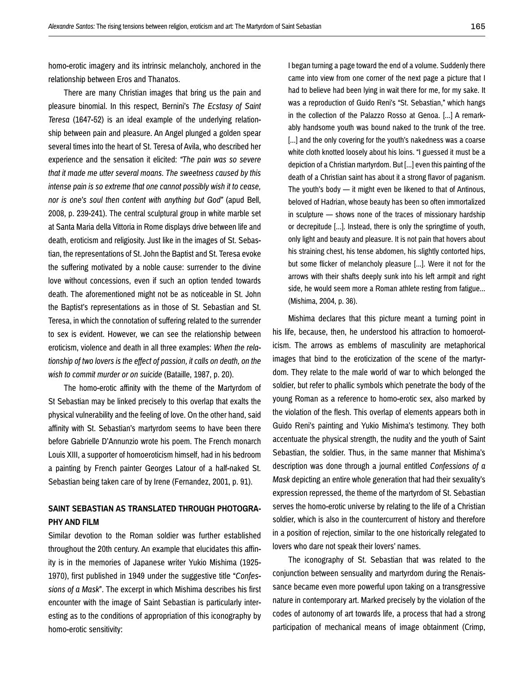homo-erotic imagery and its intrinsic melancholy, anchored in the relationship between Eros and Thanatos.

There are many Christian images that bring us the pain and pleasure binomial. In this respect, Bernini's *The Ecstasy of Saint Teresa* (1647-52) is an ideal example of the underlying relationship between pain and pleasure. An Angel plunged a golden spear several times into the heart of St. Teresa of Avila, who described her experience and the sensation it elicited: *"The pain was so severe that it made me utter several moans. The sweetness caused by this intense pain is so extreme that one cannot possibly wish it to cease, nor is one's soul then content with anything but God"* (apud Bell, 2008, p. 239-241). The central sculptural group in white marble set at Santa Maria della Vittoria in Rome displays drive between life and death, eroticism and religiosity. Just like in the images of St. Sebastian, the representations of St. John the Baptist and St. Teresa evoke the suffering motivated by a noble cause: surrender to the divine love without concessions, even if such an option tended towards death. The aforementioned might not be as noticeable in St. John the Baptist's representations as in those of St. Sebastian and St. Teresa, in which the connotation of suffering related to the surrender to sex is evident. However, we can see the relationship between eroticism, violence and death in all three examples: *When the relationship of two lovers is the effect of passion, it calls on death, on the wish to commit murder or on suicide* (Bataille, 1987, p. 20).

The homo-erotic affinity with the theme of the Martyrdom of St Sebastian may be linked precisely to this overlap that exalts the physical vulnerability and the feeling of love. On the other hand, said affinity with St. Sebastian's martyrdom seems to have been there before Gabrielle D'Annunzio wrote his poem. The French monarch Louis XIII, a supporter of homoeroticism himself, had in his bedroom a painting by French painter Georges Latour of a half-naked St. Sebastian being taken care of by Irene (Fernandez, 2001, p. 91).

### **SAINT SEBASTIAN AS TRANSLATED THROUGH PHOTOGRA-PHY AND FILM**

Similar devotion to the Roman soldier was further established throughout the 20th century. An example that elucidates this affinity is in the memories of Japanese writer Yukio Mishima (1925- 1970), first published in 1949 under the suggestive title "*Confessions of a Mask*". The excerpt in which Mishima describes his first encounter with the image of Saint Sebastian is particularly interesting as to the conditions of appropriation of this iconography by homo-erotic sensitivity:

I began turning a page toward the end of a volume. Suddenly there came into view from one corner of the next page a picture that I had to believe had been lying in wait there for me, for my sake. It was a reproduction of Guido Reni's "St. Sebastian," which hangs in the collection of the Palazzo Rosso at Genoa. [...] A remarkably handsome youth was bound naked to the trunk of the tree. [...] and the only covering for the youth's nakedness was a coarse white cloth knotted loosely about his loins. "I guessed it must be a depiction of a Christian martyrdom. But [...] even this painting of the death of a Christian saint has about it a strong flavor of paganism. The youth's body — it might even be likened to that of Antinous, beloved of Hadrian, whose beauty has been so often immortalized in sculpture — shows none of the traces of missionary hardship or decrepitude [...]. Instead, there is only the springtime of youth, only light and beauty and pleasure. It is not pain that hovers about his straining chest, his tense abdomen, his slightly contorted hips, but some flicker of melancholy pleasure [...]. Were it not for the arrows with their shafts deeply sunk into his left armpit and right side, he would seem more a Roman athlete resting from fatigue... (Mishima, 2004, p. 36).

Mishima declares that this picture meant a turning point in his life, because, then, he understood his attraction to homoeroticism. The arrows as emblems of masculinity are metaphorical images that bind to the eroticization of the scene of the martyrdom. They relate to the male world of war to which belonged the soldier, but refer to phallic symbols which penetrate the body of the young Roman as a reference to homo-erotic sex, also marked by the violation of the flesh. This overlap of elements appears both in Guido Reni's painting and Yukio Mishima's testimony. They both accentuate the physical strength, the nudity and the youth of Saint Sebastian, the soldier. Thus, in the same manner that Mishima's description was done through a journal entitled *Confessions of a Mask* depicting an entire whole generation that had their sexuality's expression repressed, the theme of the martyrdom of St. Sebastian serves the homo-erotic universe by relating to the life of a Christian soldier, which is also in the countercurrent of history and therefore in a position of rejection, similar to the one historically relegated to lovers who dare not speak their lovers' names.

The iconography of St. Sebastian that was related to the conjunction between sensuality and martyrdom during the Renaissance became even more powerful upon taking on a transgressive nature in contemporary art. Marked precisely by the violation of the codes of autonomy of art towards life, a process that had a strong participation of mechanical means of image obtainment (Crimp,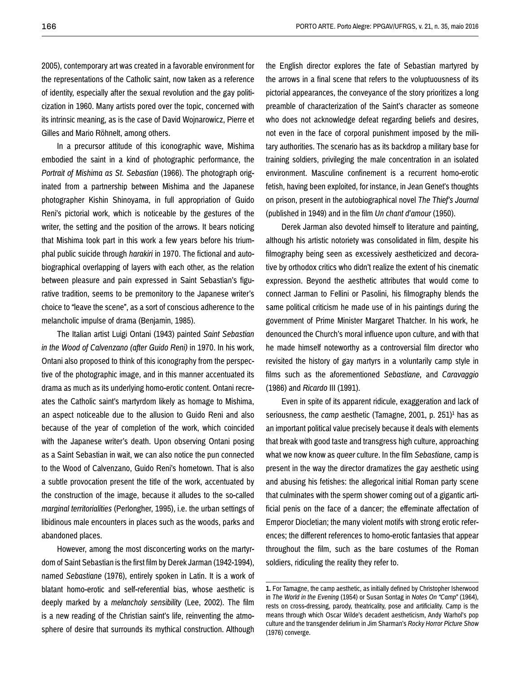2005), contemporary art was created in a favorable environment for the representations of the Catholic saint, now taken as a reference of identity, especially after the sexual revolution and the gay politicization in 1960. Many artists pored over the topic, concerned with its intrinsic meaning, as is the case of David Wojnarowicz, Pierre et Gilles and Mario Röhnelt, among others.

In a precursor attitude of this iconographic wave, Mishima embodied the saint in a kind of photographic performance, the *Portrait of Mishima as St. Sebastian* (1966). The photograph originated from a partnership between Mishima and the Japanese photographer Kishin Shinoyama, in full appropriation of Guido Reni's pictorial work, which is noticeable by the gestures of the writer, the setting and the position of the arrows. It bears noticing that Mishima took part in this work a few years before his triumphal public suicide through *harakiri* in 1970. The fictional and autobiographical overlapping of layers with each other, as the relation between pleasure and pain expressed in Saint Sebastian's figurative tradition, seems to be premonitory to the Japanese writer's choice to "leave the scene", as a sort of conscious adherence to the melancholic impulse of drama (Benjamin, 1985).

The Italian artist Luigi Ontani (1943) painted *Saint Sebastian in the Wood of Calvenzano (after Guido Reni)* in 1970. In his work, Ontani also proposed to think of this iconography from the perspective of the photographic image, and in this manner accentuated its drama as much as its underlying homo-erotic content. Ontani recreates the Catholic saint's martyrdom likely as homage to Mishima, an aspect noticeable due to the allusion to Guido Reni and also because of the year of completion of the work, which coincided with the Japanese writer's death. Upon observing Ontani posing as a Saint Sebastian in wait, we can also notice the pun connected to the Wood of Calvenzano, Guido Reni's hometown. That is also a subtle provocation present the title of the work, accentuated by the construction of the image, because it alludes to the so-called *marginal territorialities* (Perlongher, 1995), i.e. the urban settings of libidinous male encounters in places such as the woods, parks and abandoned places.

However, among the most disconcerting works on the martyrdom of Saint Sebastian is the first film by Derek Jarman (1942-1994), named *Sebastiane* (1976), entirely spoken in Latin. It is a work of blatant homo-erotic and self-referential bias, whose aesthetic is deeply marked by a *melancholy sensibility* (Lee, 2002). The film is a new reading of the Christian saint's life, reinventing the atmosphere of desire that surrounds its mythical construction. Although the English director explores the fate of Sebastian martyred by the arrows in a final scene that refers to the voluptuousness of its pictorial appearances, the conveyance of the story prioritizes a long preamble of characterization of the Saint's character as someone who does not acknowledge defeat regarding beliefs and desires. not even in the face of corporal punishment imposed by the military authorities. The scenario has as its backdrop a military base for training soldiers, privileging the male concentration in an isolated environment. Masculine confinement is a recurrent homo-erotic fetish, having been exploited, for instance, in Jean Genet's thoughts on prison, present in the autobiographical novel *The Thief's Journal* (published in 1949) and in the film *Un chant d'amour* (1950).

Derek Jarman also devoted himself to literature and painting, although his artistic notoriety was consolidated in film, despite his filmography being seen as excessively aestheticized and decorative by orthodox critics who didn't realize the extent of his cinematic expression. Beyond the aesthetic attributes that would come to connect Jarman to Fellini or Pasolini, his filmography blends the same political criticism he made use of in his paintings during the government of Prime Minister Margaret Thatcher. In his work, he denounced the Church's moral influence upon culture, and with that he made himself noteworthy as a controversial film director who revisited the history of gay martyrs in a voluntarily camp style in films such as the aforementioned *Sebastiane,* and *Caravaggio* (1986) and *Ricardo* III (1991).

Even in spite of its apparent ridicule, exaggeration and lack of seriousness, the *camp* aesthetic (Tamagne, 2001, p. 251)1 has as an important political value precisely because it deals with elements that break with good taste and transgress high culture, approaching what we now know as *queer* culture. In the film *Sebastiane,* camp is present in the way the director dramatizes the gay aesthetic using and abusing his fetishes: the allegorical initial Roman party scene that culminates with the sperm shower coming out of a gigantic artificial penis on the face of a dancer; the effeminate affectation of Emperor Diocletian; the many violent motifs with strong erotic references; the different references to homo-erotic fantasies that appear throughout the film, such as the bare costumes of the Roman soldiers, ridiculing the reality they refer to.

**<sup>1.</sup>** For Tamagne, the camp aesthetic, as initially defined by Christopher Isherwood in *The World in the Evening* (1954) or Susan Sontag in *Notes On "Camp*" (1964), rests on cross-dressing, parody, theatricality, pose and artificiality. Camp is the means through which Oscar Wilde's decadent aestheticism, Andy Warhol's pop culture and the transgender delirium in Jim Sharman's *Rocky Horror Picture Show* (1976) converge.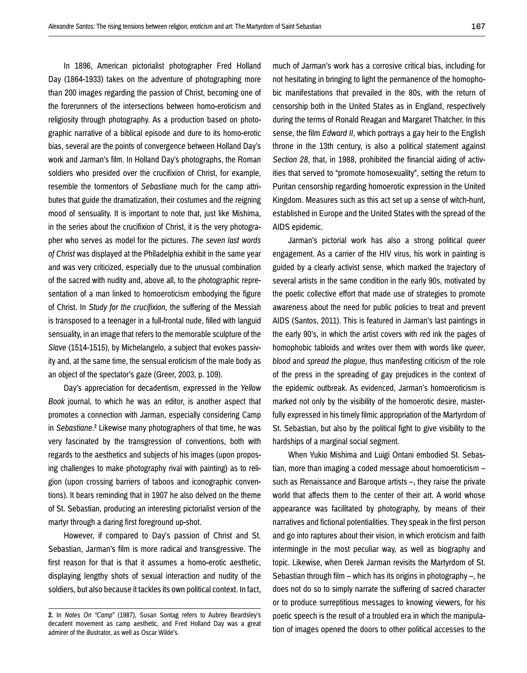In 1896, American pictorialist photographer Fred Holland Day (1864-1933) takes on the adventure of photographing more than 200 images regarding the passion of Christ, becoming one of the forerunners of the intersections between homo-eroticism and religiosity through photography. As a production based on photographic narrative of a biblical episode and dure to its homo-erotic bias, several are the points of convergence between Holland Day's work and Jarman's film. In Holland Day's photographs, the Roman soldiers who presided over the crucifixion of Christ, for example, resemble the tormentors of *Sebastiane* much for the camp attributes that guide the dramatization, their costumes and the reigning mood of sensuality. It is important to note that, just like Mishima, in the series about the crucifixion of Christ, it is the very photographer who serves as model for the pictures. *The seven last words of Christ* was displayed at the Philadelphia exhibit in the same year and was very criticized, especially due to the unusual combination of the sacred with nudity and, above all, to the photographic representation of a man linked to homoeroticism embodying the figure of Christ. In *Study for the crucifixion,* the suffering of the Messiah is transposed to a teenager in a full-frontal nude, filled with languid sensuality, in an image that refers to the memorable sculpture of the *Slave* (1514-1515), by Michelangelo, a subject that evokes passivity and, at the same time, the sensual eroticism of the male body as an object of the spectator's gaze (Greer, 2003, p. 109).

Day's appreciation for decadentism, expressed in the *Yellow Book* journal, to which he was an editor, is another aspect that promotes a connection with Jarman, especially considering Camp in *Sebastiane*.2 Likewise many photographers of that time, he was very fascinated by the transgression of conventions, both with regards to the aesthetics and subjects of his images (upon proposing challenges to make photography rival with painting) as to religion (upon crossing barriers of taboos and iconographic conventions). It bears reminding that in 1907 he also delved on the theme of St. Sebastian, producing an interesting pictorialist version of the martyr through a daring first foreground up-shot.

However, if compared to Day's passion of Christ and St. Sebastian, Jarman's film is more radical and transgressive. The first reason for that is that it assumes a homo-erotic aesthetic, displaying lengthy shots of sexual interaction and nudity of the soldiers, but also because it tackles its own political context. In fact, much of Jarman's work has a corrosive critical bias, including for not hesitating in bringing to light the permanence of the homophobic manifestations that prevailed in the 80s, with the return of censorship both in the United States as in England, respectively during the terms of Ronald Reagan and Margaret Thatcher. In this sense, the film *Edward II*, which portrays a gay heir to the English throne in the 13th century, is also a political statement against *Section 28*, that, in 1988, prohibited the financial aiding of activities that served to "promote homosexuality", setting the return to Puritan censorship regarding homoerotic expression in the United Kingdom. Measures such as this act set up a sense of witch-hunt, established in Europe and the United States with the spread of the AIDS epidemic.

Jarman's pictorial work has also a strong political *queer*  engagement. As a carrier of the HIV virus, his work in painting is guided by a clearly activist sense, which marked the trajectory of several artists in the same condition in the early 90s, motivated by the poetic collective effort that made use of strategies to promote awareness about the need for public policies to treat and prevent AIDS (Santos, 2011). This is featured in Jarman's last paintings in the early 90's, in which the artist covers with red ink the pages of homophobic tabloids and writes over them with words like *queer*, *blood* and *spread the plague*, thus manifesting criticism of the role of the press in the spreading of gay prejudices in the context of the epidemic outbreak. As evidenced, Jarman's homoeroticism is marked not only by the visibility of the homoerotic desire, masterfully expressed in his timely filmic appropriation of the Martyrdom of St. Sebastian, but also by the political fight to give visibility to the hardships of a marginal social segment.

When Yukio Mishima and Luigi Ontani embodied St. Sebastian, more than imaging a coded message about homoeroticism – such as Renaissance and Baroque artists –, they raise the private world that affects them to the center of their art. A world whose appearance was facilitated by photography, by means of their narratives and fictional potentialities. They speak in the first person and go into raptures about their vision, in which eroticism and faith intermingle in the most peculiar way, as well as biography and topic. Likewise, when Derek Jarman revisits the Martyrdom of St. Sebastian through film – which has its origins in photography –, he does not do so to simply narrate the suffering of sacred character or to produce surreptitious messages to knowing viewers, for his poetic speech is the result of a troubled era in which the manipulation of images opened the doors to other political accesses to the

**<sup>2.</sup>** In *Notes On "Camp"* (1987), Susan Sontag refers to Aubrey Beardsley's decadent movement as camp aesthetic, and Fred Holland Day was a great admirer of the illustrator, as well as Oscar Wilde's.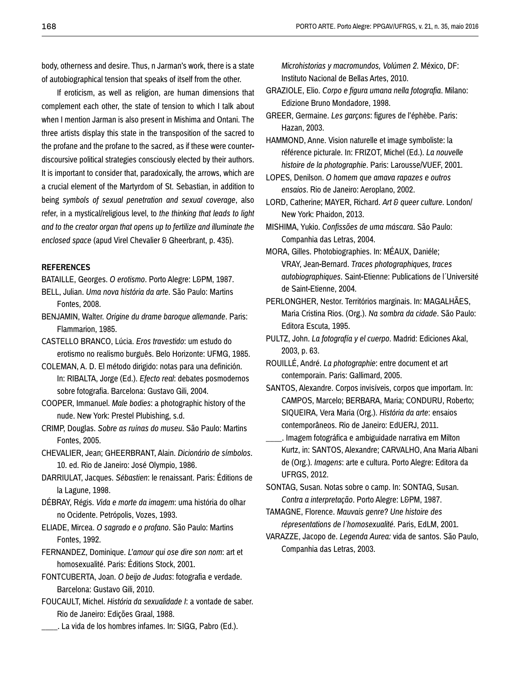body, otherness and desire. Thus, n Jarman's work, there is a state of autobiographical tension that speaks of itself from the other.

If eroticism, as well as religion, are human dimensions that complement each other, the state of tension to which I talk about when I mention Jarman is also present in Mishima and Ontani. The three artists display this state in the transposition of the sacred to the profane and the profane to the sacred, as if these were counterdiscoursive political strategies consciously elected by their authors. It is important to consider that, paradoxically, the arrows, which are a crucial element of the Martyrdom of St. Sebastian, in addition to being *symbols of sexual penetration and sexual coverage*, also refer, in a mystical/religious level, to *the thinking that leads to light and to the creator organ that opens up to fertilize and illuminate the enclosed space* (apud Virel Chevalier & Gheerbrant, p. 435).

#### **REFERENCES**

BATAILLE, Georges. *O erotismo*. Porto Alegre: L&PM, 1987.

- BELL, Julian. *Uma nova história da arte*. São Paulo: Martins Fontes, 2008.
- BENJAMIN, Walter. *Origine du drame baroque allemande*. Paris: Flammarion, 1985.
- CASTELLO BRANCO, Lúcia. *Eros travestido*: um estudo do erotismo no realismo burguês. Belo Horizonte: UFMG, 1985.
- COLEMAN, A. D. El método dirigido: notas para una definición. In: RIBALTA, Jorge (Ed.). *Efecto real*: debates posmodernos sobre fotografia. Barcelona: Gustavo Gili, 2004.
- COOPER, Immanuel. *Male bodies*: a photographic history of the nude. New York: Prestel Plubishing, s.d.
- CRIMP, Douglas. *Sobre as ruínas do museu*. São Paulo: Martins Fontes, 2005.
- CHEVALIER, Jean; GHEERBRANT, Alain. *Dicionário de símbolos*. 10. ed. Rio de Janeiro: José Olympio, 1986.
- DARRIULAT, Jacques. *Sébastien*: le renaissant. Paris: Éditions de la Lagune, 1998.
- DÉBRAY, Régis. *Vida e morte da imagem*: uma história do olhar no Ocidente. Petrópolis, Vozes, 1993.
- ELIADE, Mircea. *O sagrado e o profano*. São Paulo: Martins Fontes, 1992.
- FERNANDEZ, Dominique. *L'amour qui ose dire son nom*: art et homosexualité. Paris: Éditions Stock, 2001.
- FONTCUBERTA, Joan. *O beijo de Judas*: fotografia e verdade. Barcelona: Gustavo Gili, 2010.
- FOUCAULT, Michel. *História da sexualidade I*: a vontade de saber. Rio de Janeiro: Edições Graal, 1988.
	- \_\_\_\_. La vida de los hombres infames. In: SIGG, Pabro (Ed.).

*Microhistorias y macromundos, Volúmen 2*. México, DF: Instituto Nacional de Bellas Artes, 2010.

- GRAZIOLE, Elio. *Corpo e figura umana nella fotografia*. Milano: Edizione Bruno Mondadore, 1998.
- GREER, Germaine. *Les garçons*: figures de l'éphèbe. Paris: Hazan, 2003.

HAMMOND, Anne. Vision naturelle et image symboliste: la référence picturale. In: FRIZOT, Michel (Ed.). *La nouvelle histoire de la photographie*. Paris: Larousse/VUEF, 2001.

- LOPES, Denilson. *O homem que amava rapazes e outros ensaios*. Rio de Janeiro: Aeroplano, 2002.
- LORD, Catherine; MAYER, Richard. *Art & queer culture*. London/ New York: Phaidon, 2013.
- MISHIMA, Yukio. *Confissões de uma máscara*. São Paulo: Companhia das Letras, 2004.
- MORA, Gilles. Photobiographies. In: MÉAUX, Daniéle; VRAY, Jean-Bernard. *Traces photographiques, traces autobiographiques*. Saint-Etienne: Publications de l´Université de Saint-Etienne, 2004.
- PERLONGHER, Nestor. Territórios marginais. In: MAGALHÃES, Maria Cristina Rios. (Org.). *Na sombra da cidade*. São Paulo: Editora Escuta, 1995.
- PULTZ, John. *La fotografía y el cuerpo*. Madrid: Ediciones Akal, 2003, p. 63.
- ROUILLÉ, André. *La photographie*: entre document et art contemporain. Paris: Gallimard, 2005.
- SANTOS, Alexandre. Corpos invisíveis, corpos que importam. In: CAMPOS, Marcelo; BERBARA, Maria; CONDURU, Roberto; SIQUEIRA, Vera Maria (Org.). *História da arte*: ensaios contemporâneos. Rio de Janeiro: EdUERJ, 2011.
- \_\_\_\_. Imagem fotográfica e ambiguidade narrativa em Milton Kurtz, in: SANTOS, Alexandre; CARVALHO, Ana Maria Albani de (Org.). *Imagens*: arte e cultura. Porto Alegre: Editora da UFRGS, 2012.

SONTAG, Susan. Notas sobre o camp. In: SONTAG, Susan. *Contra a interpretação*. Porto Alegre: L&PM, 1987.

- TAMAGNE, Florence. *Mauvais genre? Une histoire des répresentations de l´homosexualité.* Paris, EdLM, 2001.
- VARAZZE, Jacopo de. *Legenda Aurea:* vida de santos. São Paulo, Companhia das Letras, 2003.